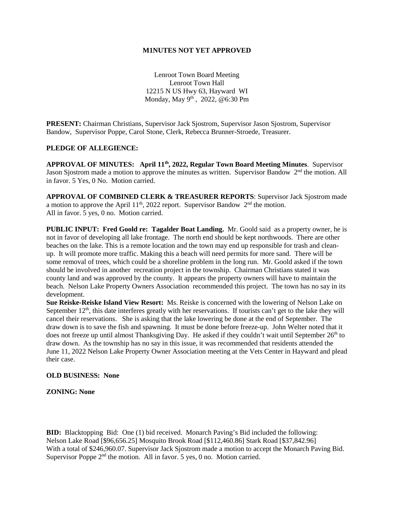#### **M1NUTES NOT YET APPROVED**

Lenroot Town Board Meeting Lenroot Town Hall 12215 N US Hwy 63, Hayward WI Monday, May 9th , 2022, @6:30 Pm

**PRESENT:** Chairman Christians, Supervisor Jack Sjostrom, Supervisor Jason Sjostrom, Supervisor Bandow, Supervisor Poppe, Carol Stone, Clerk, Rebecca Brunner-Stroede, Treasurer.

## **PLEDGE OF ALLEGIENCE:**

APPROVAL OF MINUTES: April 11<sup>th</sup>, 2022, Regular Town Board Meeting Minutes. Supervisor Jason Sjostrom made a motion to approve the minutes as written. Supervisor Bandow  $2<sup>nd</sup>$  the motion. All in favor. 5 Yes, 0 No. Motion carried.

**APPROVAL OF COMBINED CLERK & TREASURER REPORTS**: Supervisor Jack Sjostrom made a motion to approve the April  $11<sup>th</sup>$ , 2022 report. Supervisor Bandow  $2<sup>nd</sup>$  the motion. All in favor. 5 yes, 0 no. Motion carried.

**PUBLIC INPUT: Fred Goold re: Tagalder Boat Landing.** Mr. Goold said as a property owner, he is not in favor of developing all lake frontage. The north end should be kept northwoods. There are other beaches on the lake. This is a remote location and the town may end up responsible for trash and cleanup. It will promote more traffic. Making this a beach will need permits for more sand. There will be some removal of trees, which could be a shoreline problem in the long run. Mr. Goold asked if the town should be involved in another recreation project in the township. Chairman Christians stated it was county land and was approved by the county. It appears the property owners will have to maintain the beach. Nelson Lake Property Owners Association recommended this project. The town has no say in its development.

**Sue Reiske-Reiske Island View Resort:** Ms. Reiske is concerned with the lowering of Nelson Lake on September  $12<sup>th</sup>$ , this date interferes greatly with her reservations. If tourists can't get to the lake they will cancel their reservations. She is asking that the lake lowering be done at the end of September. The draw down is to save the fish and spawning. It must be done before freeze-up. John Welter noted that it does not freeze up until almost Thanksgiving Day. He asked if they couldn't wait until September  $26<sup>th</sup>$  to draw down. As the township has no say in this issue, it was recommended that residents attended the June 11, 2022 Nelson Lake Property Owner Association meeting at the Vets Center in Hayward and plead their case.

#### **OLD BUSINESS: None**

**ZONING: None**

**BID:** Blacktopping Bid: One (1) bid received. Monarch Paving's Bid included the following: Nelson Lake Road [\$96,656.25] Mosquito Brook Road [\$112,460.86] Stark Road [\$37,842.96] With a total of \$246,960.07. Supervisor Jack Sjostrom made a motion to accept the Monarch Paving Bid. Supervisor Poppe  $2<sup>nd</sup>$  the motion. All in favor. 5 yes, 0 no. Motion carried.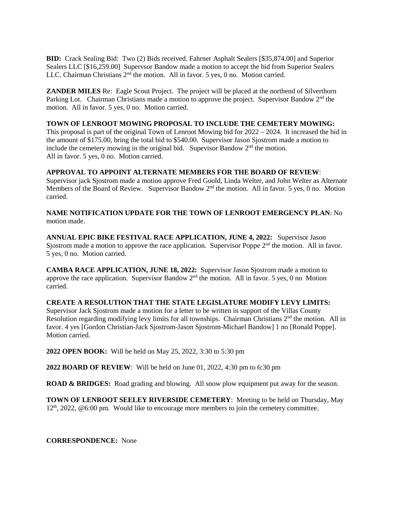**BID:** Crack Sealing Bid: Two (2) Bids received. Fahrner Asphalt Sealers [\$35,874.00] and Superior Sealers LLC [\$16,259.00] Supervsor Bandow made a motion to accept the bid from Superior Sealers LLC. Chairman Christians  $2<sup>nd</sup>$  the motion. All in favor. 5 yes, 0 no. Motion carried.

**ZANDER MILES** Re: Eagle Scout Project. The project will be placed at the northend of Silverthorn Parking Lot. Chairman Christians made a motion to approve the project. Supervisor Bandow 2<sup>nd</sup> the motion. All in favor. 5 yes, 0 no. Motion carried.

## **TOWN OF LENROOT MOWING PROPOSAL TO INCLUDE THE CEMETERY MOWING:**

This proposal is part of the original Town of Lenroot Mowing bid for 2022 – 2024. It increased the bid in the amount of \$175.00, bring the total bid to \$540.00. Supervisor Jason Sjostrom made a motion to include the cemetery mowing in the original bid. Supevisor Bandow  $2<sup>nd</sup>$  the motion. All in favor. 5 yes, 0 no. Motion carried.

#### **APPROVAL TO APPOINT ALTERNATE MEMBERS FOR THE BOARD OF REVIEW**:

Supervisor jack Sjostrom made a motion approve Fred Goold, Linda Welter, and John Welter as Alternate Members of the Board of Review. Supervisor Bandow  $2<sup>nd</sup>$  the motion. All in favor. 5 yes, 0 no. Motion carried.

## **NAME NOTIFICATION UPDATE FOR THE TOWN OF LENROOT EMERGENCY PLAN**: No motion made.

**ANNUAL EPIC BIKE FESTIVAL RACE APPLICATION, JUNE 4, 2022:** Supervisor Jason Sjostrom made a motion to approve the race application. Supervisor Poppe  $2<sup>nd</sup>$  the motion. All in favor. 5 yes, 0 no. Motion carried.

**CAMBA RACE APPLICATION, JUNE 18, 2022:** Supervisor Jason Sjostrom made a motion to approve the race application. Supervisor Bandow 2<sup>nd</sup> the motion. All in favor. 5 yes, 0 no Motion carried.

# **CREATE A RESOLUTION THAT THE STATE LEGISLATURE MODIFY LEVY LIMITS:**

Supervisor Jack Sjostrom made a motion for a letter to be written in support of the Villas County Resolution regarding modifying levy limits for all townships. Chairman Christians 2<sup>nd</sup> the motion. All in favor. 4 yes [Gordon Christian-Jack Sjostrom-Jason Sjostrom-Michael Bandow] 1 no [Ronald Poppe]. Motion carried.

**2022 OPEN BOOK:** Will be held on May 25, 2022, 3:30 to 5:30 pm

**2022 BOARD OF REVIEW**: Will be held on June 01, 2022, 4:30 pm to 6:30 pm

**ROAD & BRIDGES:** Road grading and blowing. All snow plow equipment put away for the season.

**TOWN OF LENROOT SEELEY RIVERSIDE CEMETERY**: Meeting to be held on Thursday, May  $12<sup>th</sup>$ , 2022, @6:00 pm. Would like to encourage more members to join the cemetery committee.

**CORRESPONDENCE:** None